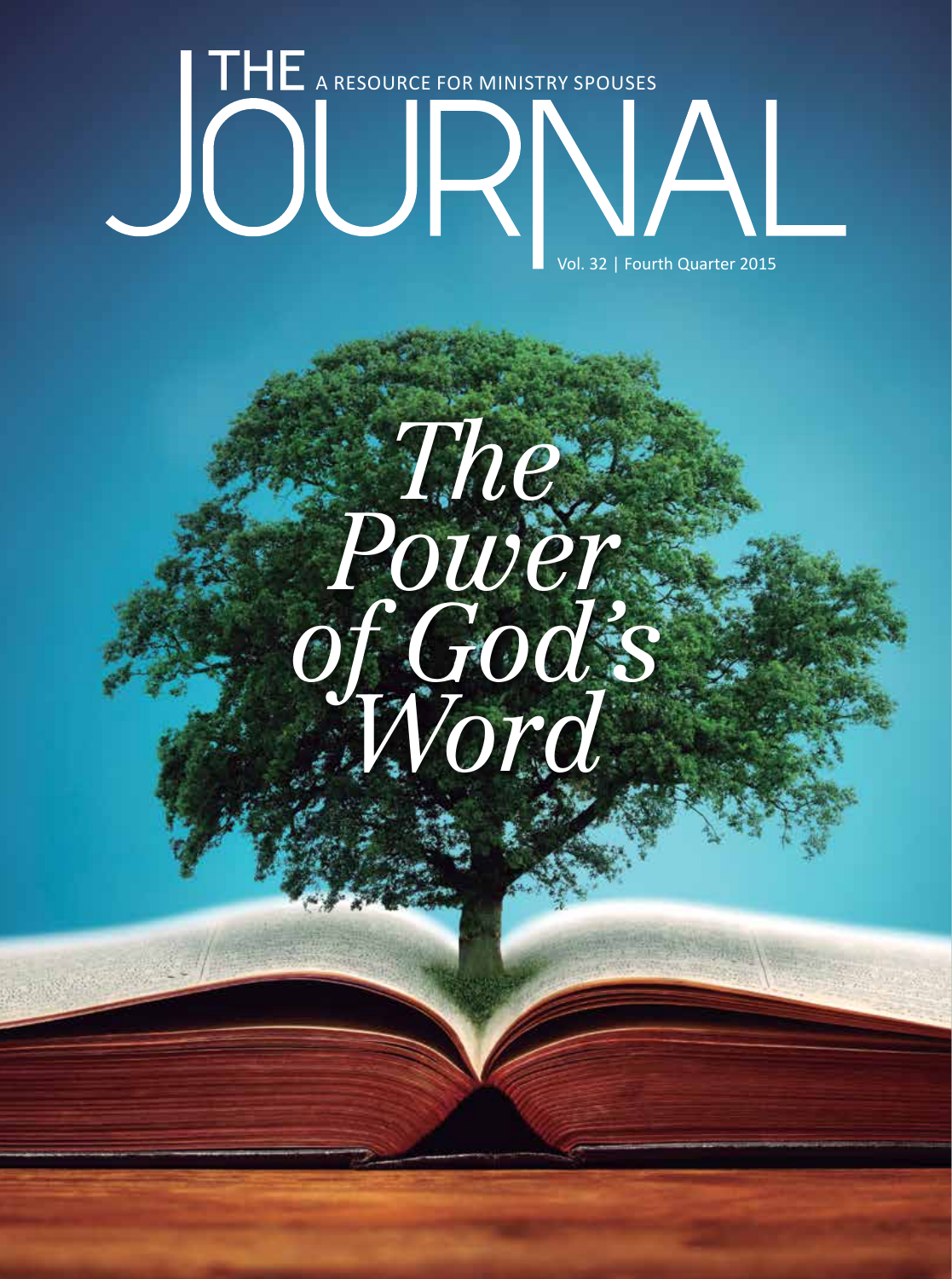

# *The Power of God's Word*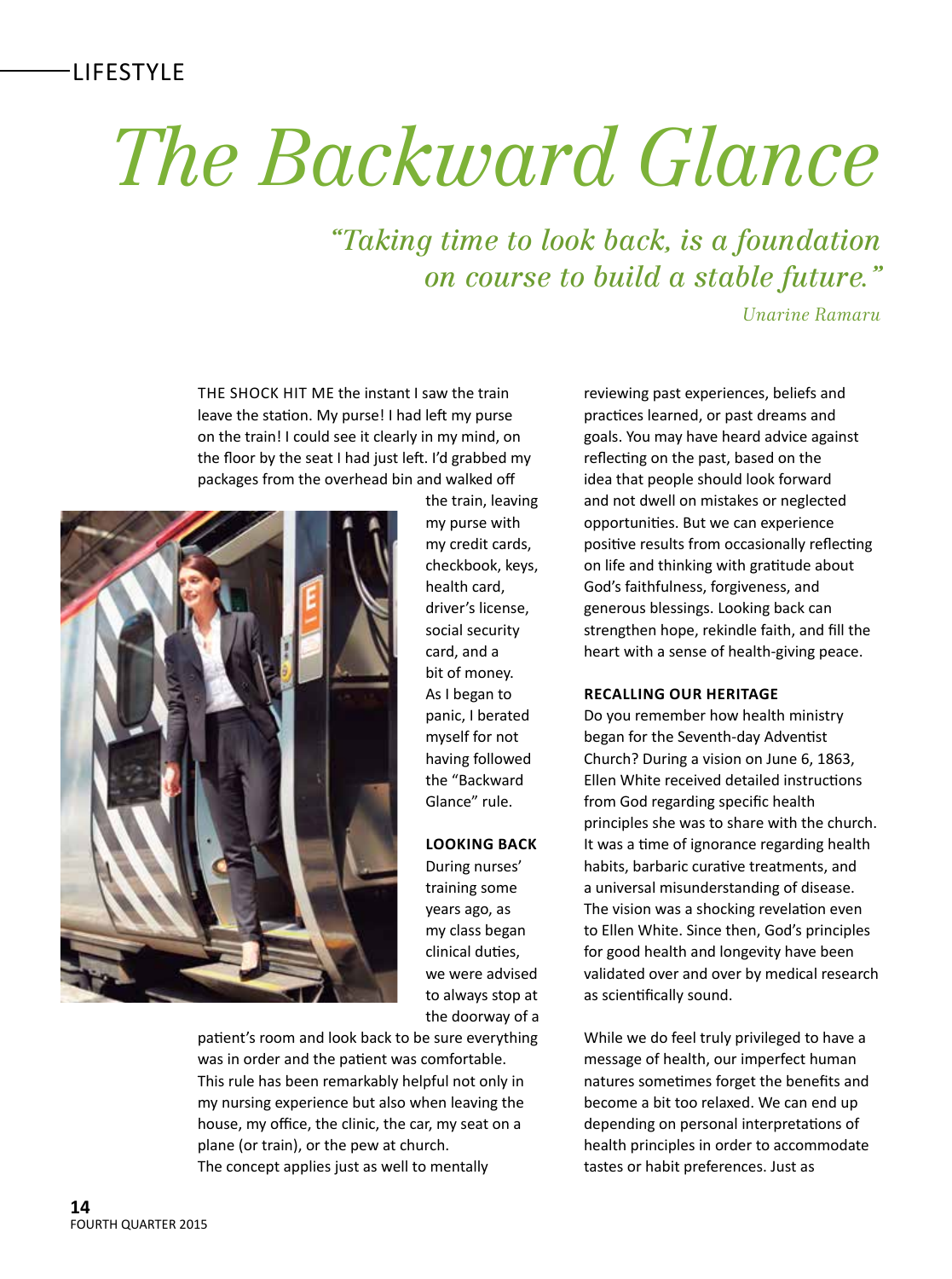# *The Backward Glance*

*"Taking time to look back, is a foundation on course to build a stable future."*

*Unarine Ramaru*

THE SHOCK HIT ME the instant I saw the train leave the station. My purse! I had left my purse on the train! I could see it clearly in my mind, on the floor by the seat I had just left. I'd grabbed my packages from the overhead bin and walked of



the train, leaving my purse with my credit cards, checkbook, keys, health card, driver's license, social security card, and a bit of money. As I began to panic, I berated myself for not having followed the "Backward Glance" rule.

# **LOOKING BACK**

During nurses' training some years ago, as my class began clinical duties, we were advised to always stop at the doorway of a

patient's room and look back to be sure everything was in order and the patient was comfortable. This rule has been remarkably helpful not only in my nursing experience but also when leaving the house, my office, the clinic, the car, my seat on a plane (or train), or the pew at church. The concept applies just as well to mentally

reviewing past experiences, beliefs and practices learned, or past dreams and goals. You may have heard advice against reflecting on the past, based on the idea that people should look forward and not dwell on mistakes or neglected opportunites. But we can experience positive results from occasionally reflecting on life and thinking with gratitude about God's faithfulness, forgiveness, and generous blessings. Looking back can strengthen hope, rekindle faith, and fll the heart with a sense of health-giving peace.

## **RECALLING OUR HERITAGE**

Do you remember how health ministry began for the Seventh-day Adventist Church? During a vision on June 6, 1863, Ellen White received detailed instructions from God regarding specifc health principles she was to share with the church. It was a time of ignorance regarding health habits, barbaric curative treatments, and a universal misunderstanding of disease. The vision was a shocking revelation even to Ellen White. Since then, God's principles for good health and longevity have been validated over and over by medical research as scientifically sound.

While we do feel truly privileged to have a message of health, our imperfect human natures sometimes forget the benefits and become a bit too relaxed. We can end up depending on personal interpretations of health principles in order to accommodate tastes or habit preferences. Just as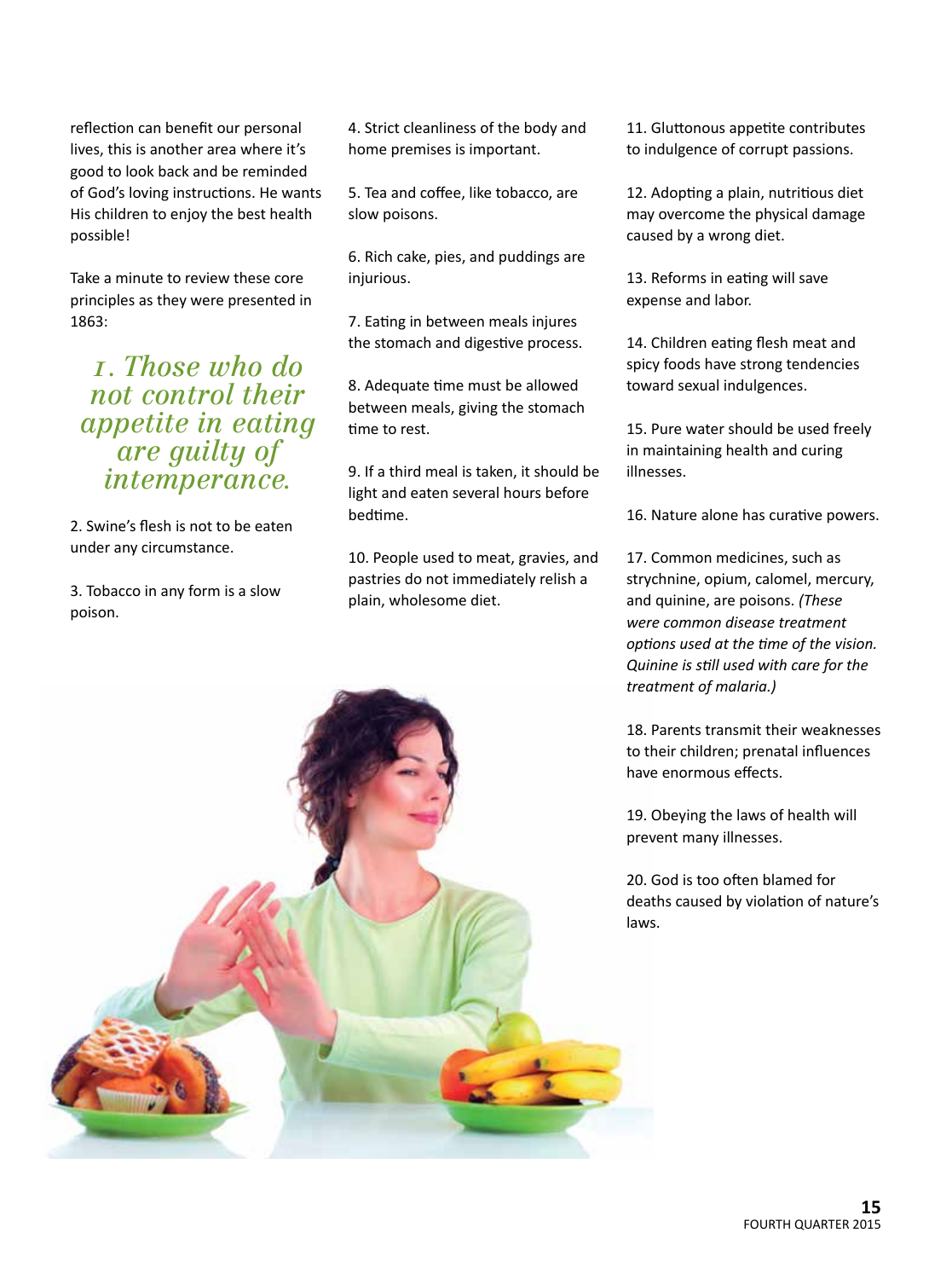reflection can benefit our personal lives, this is another area where it's good to look back and be reminded of God's loving instructions. He wants His children to enjoy the best health possible!

Take a minute to review these core principles as they were presented in 1863:

*1. Those who do not control their appetite in eating are guilty of intemperance.*

2. Swine's flesh is not to be eaten under any circumstance.

3. Tobacco in any form is a slow poison.

4. Strict cleanliness of the body and home premises is important.

5. Tea and coffee, like tobacco, are slow poisons.

6. Rich cake, pies, and puddings are injurious.

7. Eating in between meals injures the stomach and digestive process.

8. Adequate tme must be allowed between meals, giving the stomach time to rest.

9. If a third meal is taken, it should be light and eaten several hours before bedtme.

10. People used to meat, gravies, and pastries do not immediately relish a plain, wholesome diet.

11. Gluttonous appetite contributes to indulgence of corrupt passions.

12. Adopting a plain, nutritious diet may overcome the physical damage caused by a wrong diet.

13. Reforms in eating will save expense and labor.

14. Children eating flesh meat and spicy foods have strong tendencies toward sexual indulgences.

15. Pure water should be used freely in maintaining health and curing illnesses.

16. Nature alone has curative powers.

17. Common medicines, such as strychnine, opium, calomel, mercury, and quinine, are poisons. *(These were common disease treatment optons used at the tme of the vision. Quinine is stll used with care for the treatment of malaria.)*

18. Parents transmit their weaknesses to their children; prenatal infuences have enormous effects.

19. Obeying the laws of health will prevent many illnesses.

20. God is too often blamed for deaths caused by violation of nature's laws.